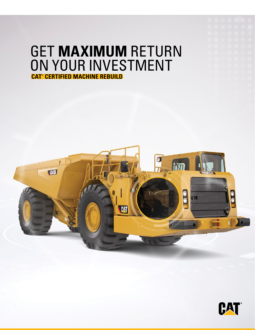# GET **MAXIMUM** RETURN ON YOUR INVESTMENT **CAT® CERTIFIED MACHINE REBUILD**



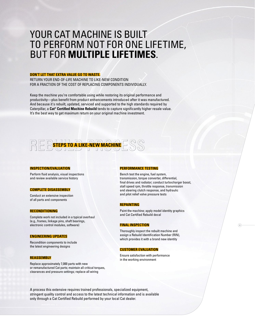## YOUR CAT MACHINE IS BUILT TO PERFORM NOT FOR ONE LIFETIME, BUT FOR **MULTIPLE LIFETIMES**.

#### **DON'T LET THAT EXTRA VALUE GO TO WASTE.**

RETURN YOUR END-OF-LIFE MACHINE TO LIKE-NEW CONDITION FOR A FRACTION OF THE COST OF REPLACING COMPONENTS INDIVIDUALLY.

Keep the machine you're comfortable using while restoring its original performance and productivity—plus benefit from product enhancements introduced after it was manufactured. And because it's rebuilt, updated, serviced and supported to the high standards required by Caterpillar, a **Cat® Certified Machine Rebuild** tends to capture significantly higher resale value. It's the best way to get maximum return on your original machine investment.



#### **INSPECTION/EVALUATION**

Perform fluid analysis, visual inspections and review available service history

#### **COMPLETE DISASSEMBLY**

Conduct an extensive inspection of all parts and components

#### **RECONDITIONING**

Complete work not included in a typical overhaul (e.g., frames, linkage pins, shaft bearings, electronic control modules, software)

#### **ENGINEERING UPDATES**

Recondition components to include the latest engineering designs

#### **REASSEMBLY**

Replace approximately 7,000 parts with new or remanufactured Cat parts; maintain all critical torques, clearances and pressure settings; replace all wiring

#### **PERFORMANCE TESTING**

Bench test the engine, fuel system, transmission, torque converter, differential, final drives and radiator; conduct turbocharger boost, stall speed rpm, throttle response, transmission and steering clutch response, and hydraulic and pilot relief valve pressure tests

#### **REPAINTING**

Paint the machine; apply model identity graphics and Cat Certified Rebuild decal

6

#### **FINAL INSPECTION**

Thoroughly inspect the rebuilt machine and assign a Rebuild Identification Number (RIN), which provides it with a brand new identity

#### **CUSTOMER EVALUATION**

Ensure satisfaction with performance in the working environment

A process this extensive requires trained professionals, specialized equipment, stringent quality control and access to the latest technical information and is available only through a Cat Certified Rebuild performed by your local Cat dealer.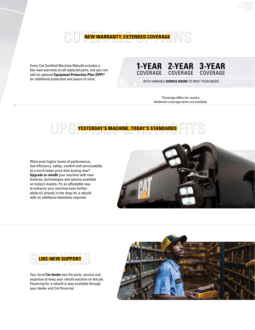

Every Cat Certified Machine Rebuild includes a like-new warranty on all replaced parts, and you can add an optional **Equipment Protection Plan (EPP)\*** for additional protection and peace of mind.

 $\odot$ 

### **1-YEAR 2-YEAR 3-YEAR** COVERAGE COVERAGE COVERAGE

WITH VARIABLE **SERVICE HOURS** TO MEET YOUR NEEDS

\*Coverage differs by country. Additional coverage terms are available.



Want even higher levels of performance, fuel efficiency, safety, comfort and serviceability at a much lower price than buying new? **Upgrade or retrofit** your machine with new features, technologies and options available on today's models. It's an affordable way to enhance your machine even further while it's already in the shop for a rebuild with no additional downtime required.





Your local **Cat dealer** has the parts, service and expertise to keep your rebuilt machine on the job. Financing for a rebuild is also available through your dealer and Cat Financial.